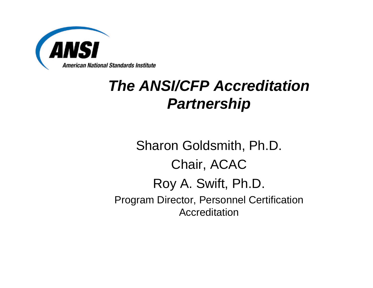

#### *The ANSI/CFP Accreditation Partnership*

#### Sharon Goldsmith, Ph.D. Chair, ACAC Roy A. Swift, Ph.D. Program Director, Personnel Certification Accreditation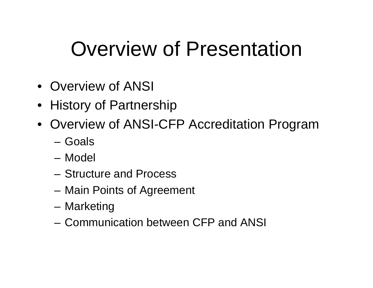# Overview of Presentation

- Overview of ANSI
- History of Partnership
- Overview of ANSI-CFP Accreditation Program
	- Goals
	- Model
	- Structure and Process
	- Main Points of Agreement
	- Marketing
	- Communication between CFP and ANSI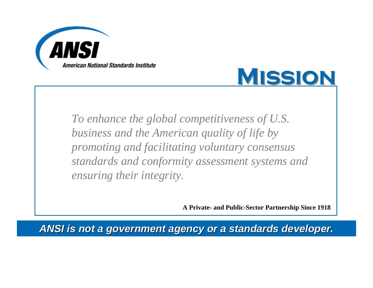



*To enhance the global competitiveness of U.S. business and the American quality of life by promoting and facilitating voluntary consensus standards and conformity assessment systems and ensuring their integrity.*

**A Private- and Public-Sector Partnership Since 1918**

*ANSI is not a government agency or a standards developer. ANSI is not a government agency or a standards developer.*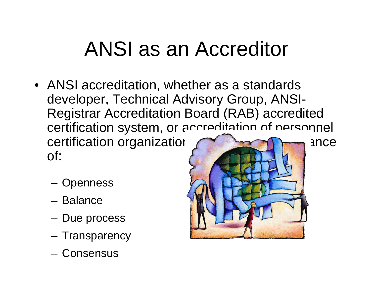# ANSI as an Accreditor

- ANSI accreditation, whether as a standards developer, Technical Advisory Group, ANSI-Registrar Accreditation Board (RAB) accredited certification system, or accreditation of personnel certification organizations and the annual ance of:
	- Openness
	- Balance
	- Due process
	- Transparency
	- Consensus

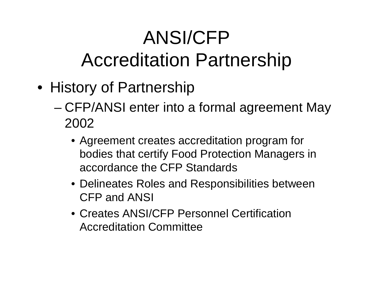## ANSI/CFP Accreditation Partnership

- History of Partnership
	- CFP/ANSI enter into a formal agreement May 2002
		- Agreement creates accreditation program for bodies that certify Food Protection Managers in accordance the CFP Standards
		- Delineates Roles and Responsibilities between CFP and ANSI
		- Creates ANSI/CFP Personnel Certification Accreditation Committee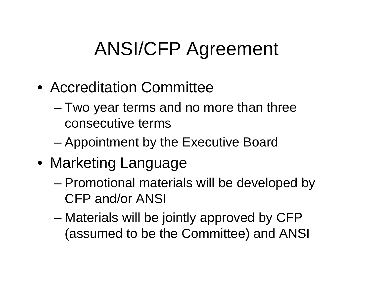## ANSI/CFP Agreement

- Accreditation Committee
	- Two year terms and no more than three consecutive terms
	- Appointment by the Executive Board
- Marketing Language
	- Promotional materials will be developed by CFP and/or ANSI
	- Materials will be jointly approved by CFP (assumed to be the Committee) and ANSI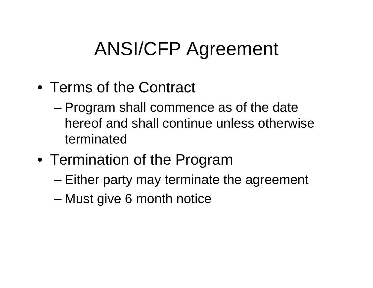#### ANSI/CFP Agreement

- Terms of the Contract
	- Program shall commence as of the date hereof and shall continue unless otherwise terminated
- Termination of the Program
	- Either party may terminate the agreement
	- Must give 6 month notice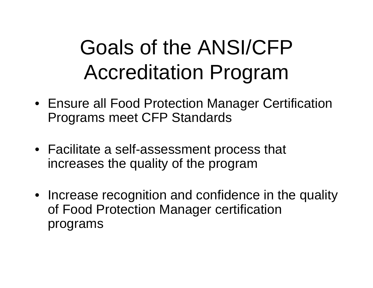# Goals of the ANSI/CFP Accreditation Program

- Ensure all Food Protection Manager Certification Programs meet CFP Standards
- Facilitate a self-assessment process that increases the quality of the program
- Increase recognition and confidence in the quality of Food Protection Manager certification programs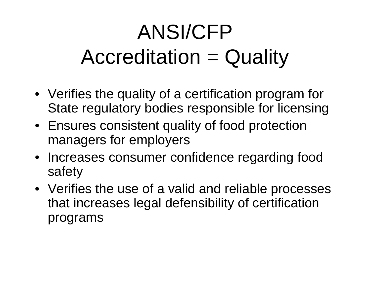# ANSI/CFP Accreditation = Quality

- Verifies the quality of a certification program for State regulatory bodies responsible for licensing
- Ensures consistent quality of food protection managers for employers
- Increases consumer confidence regarding food safety
- Verifies the use of a valid and reliable processes that increases legal defensibility of certification programs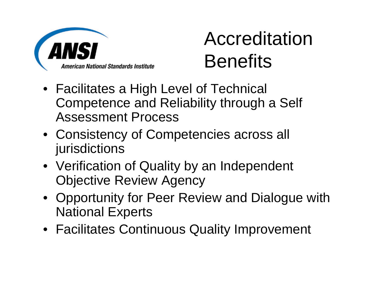

## Accreditation **Benefits**

- Facilitates a High Level of Technical Competence and Reliability through a Self Assessment Process
- Consistency of Competencies across all jurisdictions
- Verification of Quality by an Independent Objective Review Agency
- Opportunity for Peer Review and Dialogue with National Experts
- Facilitates Continuous Quality Improvement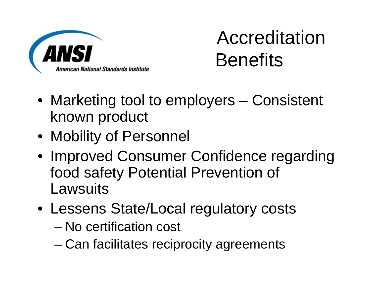

## Accreditation **Benefits**

- Marketing tool to employers Consistent known product
- Mobility of Personnel
- Improved Consumer Confidence regarding food safety Potential Prevention of **Lawsuits**
- Lessens State/Local regulatory costs
	- No certification cost
	- Can facilitates reciprocity agreements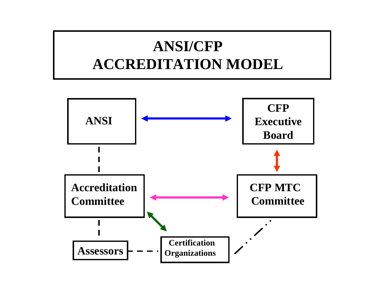#### **ANSI/CFPACCREDITATION MODEL**

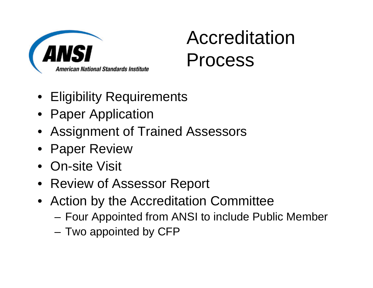

#### Accreditation Process

- Eligibility Requirements
- Paper Application
- Assignment of Trained Assessors
- Paper Review
- On-site Visit
- Review of Assessor Report
- Action by the Accreditation Committee
	- Four Appointed from ANSI to include Public Member
	- Two appointed by CFP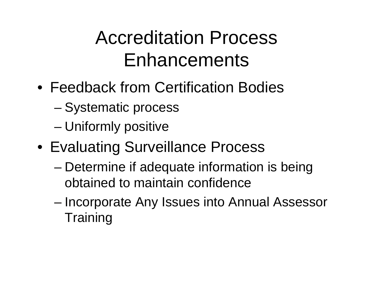#### Accreditation Process Enhancements

- Feedback from Certification Bodies
	- Systematic process
	- Uniformly positive
- Evaluating Surveillance Process
	- Determine if adequate information is being obtained to maintain confidence
	- Incorporate Any Issues into Annual Assessor **Training**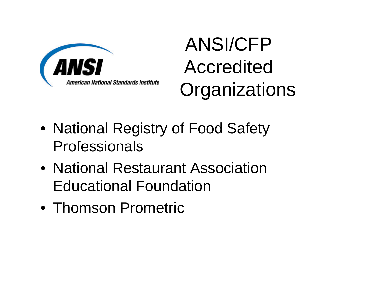

## ANSI/CFP Accredited **Organizations**

- National Registry of Food Safety Professionals
- National Restaurant Association Educational Foundation
- Thomson Prometric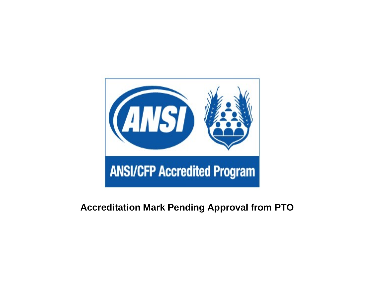

#### **Accreditation Mark Pending Approval from PTO**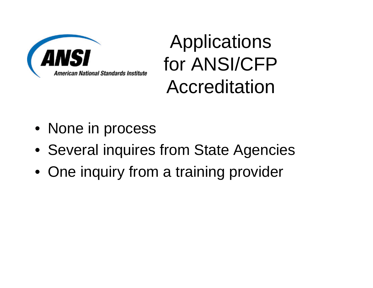

Applications for ANSI/CFP Accreditation

- None in process
- Several inquires from State Agencies
- One inquiry from a training provider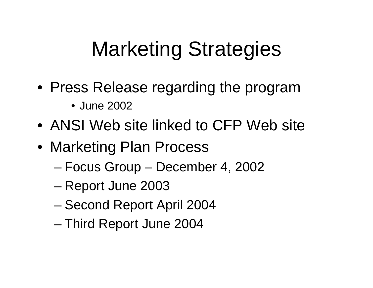# Marketing Strategies

- Press Release regarding the program
	- June 2002
- ANSI Web site linked to CFP Web site
- Marketing Plan Process
	- Focus Group December 4, 2002
	- Report June 2003
	- Second Report April 2004
	- Third Report June 2004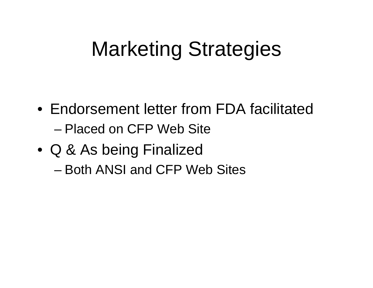# Marketing Strategies

- Endorsement letter from FDA facilitated– Placed on CFP Web Site
- Q & As being Finalized – Both ANSI and CFP Web Sites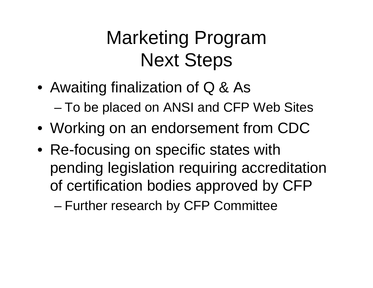## Marketing Program Next Steps

- Awaiting finalization of Q & As – To be placed on ANSI and CFP Web Sites
- Working on an endorsement from CDC
- Re-focusing on specific states with pending legislation requiring accreditation of certification bodies approved by CFP

– Further research by CFP Committee